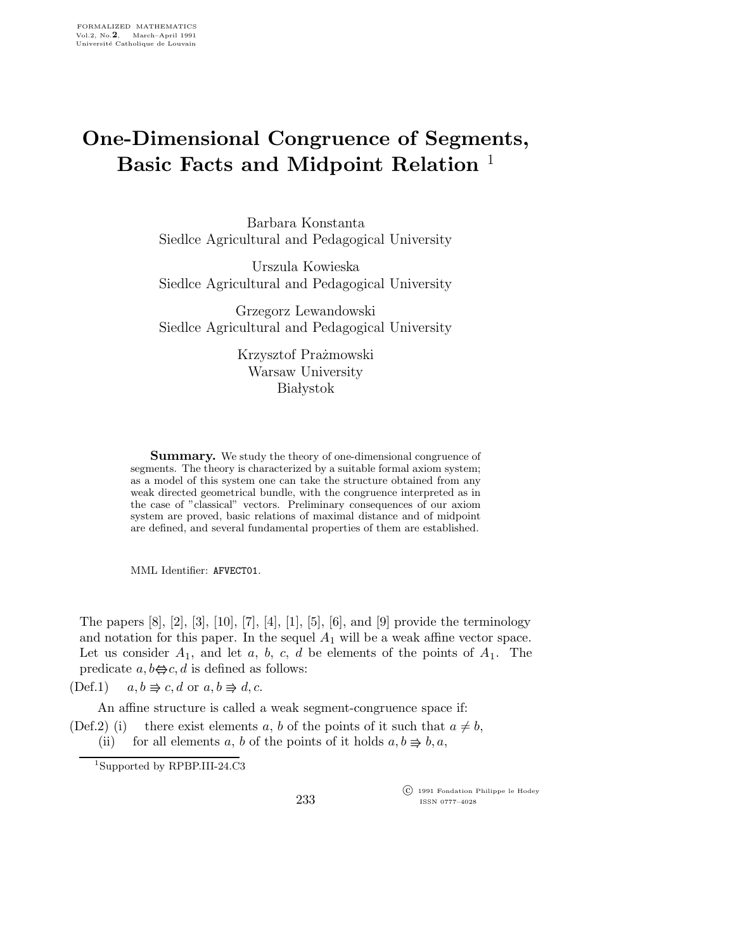## One-Dimensional Congruence of Segments, Basic Facts and Midpoint Relation<sup>1</sup>

Barbara Konstanta Siedlce Agricultural and Pedagogical University

Urszula Kowieska Siedlce Agricultural and Pedagogical University

Grzegorz Lewandowski Siedlce Agricultural and Pedagogical University

> Krzysztof Prażmowski Warsaw University **Białystok**

**Summary.** We study the theory of one-dimensional congruence of segments. The theory is characterized by a suitable formal axiom system; as a model of this system one can take the structure obtained from any weak directed geometrical bundle, with the congruence interpreted as in the case of "classical" vectors. Preliminary consequences of our axiom system are proved, basic relations of maximal distance and of midpoint are defined, and several fundamental properties of them are established.

MML Identifier: AFVECT01.

The papers [8], [2], [3], [10], [7], [4], [1], [5], [6], and [9] provide the terminology and notation for this paper. In the sequel  $A_1$  will be a weak affine vector space. Let us consider  $A_1$ , and let  $a, b, c, d$  be elements of the points of  $A_1$ . The predicate  $a, b \Leftrightarrow c, d$  is defined as follows:

 $(Def.1)$  $c, d \text{ or } a, b \Rightarrow d, c.$ 

An affine structure is called a weak segment-congruence space if:

(Def.2) (i) there exist elements a, b of the points of it such that  $a \neq b$ , (ii) for all elements a, b of the points of it holds  $a, b \Rightarrow b, a$ ,

<sup>1</sup>Supported by RPBP.III-24.C3

 c 1991 Fondation Philippe le Hodey ISSN 0777–4028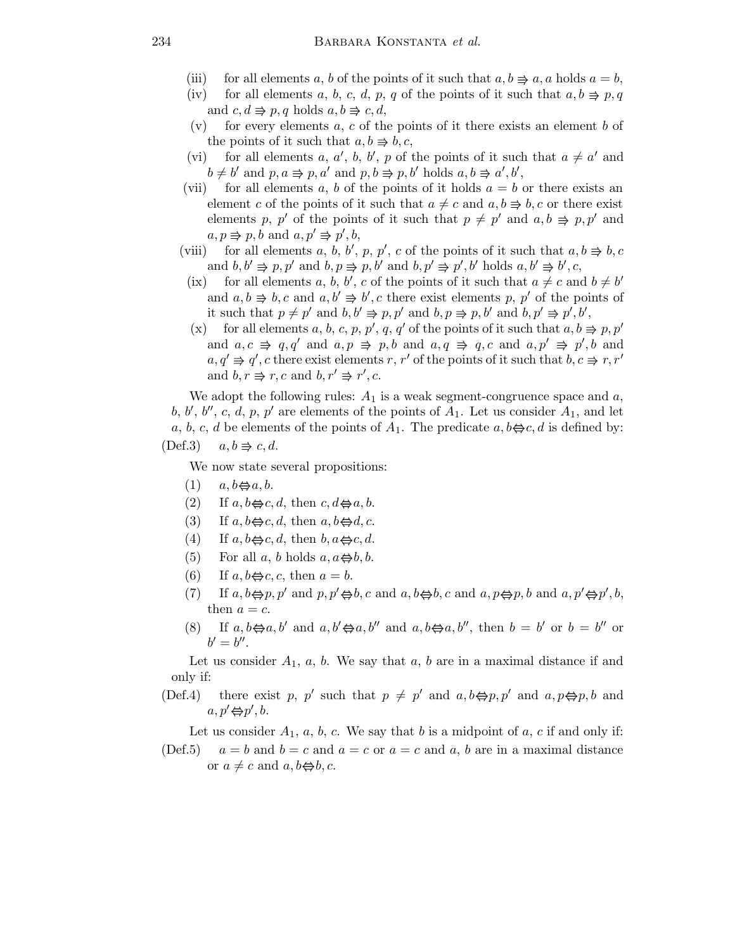- (iii) for all elements a, b of the points of it such that  $a, b \Rightarrow a, a$  holds  $a = b$ ,
- (iv) for all elements a, b, c, d, p, q of the points of it such that  $a, b \Rightarrow p, q$ and  $c, d \Rightarrow p, q$  holds  $a, b \Rightarrow c, d$ ,
- (v) for every elements a, c of the points of it there exists an element b of the points of it such that  $a, b \Rightarrow b, c$ ,
- (vi) for all elements a, a', b, b', p of the points of it such that  $a \neq a'$  and  $b \neq b'$  and  $p, a \Rightarrow p, a'$  and  $p, b \Rightarrow p, b'$  holds  $a, b \Rightarrow a', b'$ ,
- (vii) for all elements a, b of the points of it holds  $a = b$  or there exists an element c of the points of it such that  $a \neq c$  and  $a,b \Rightarrow b,c$  or there exist elements p, p' of the points of it such that  $p \neq p'$  and  $a, b \Rightarrow p, p'$  and  $a, p \Rightarrow p, b \text{ and } a, p' \Rightarrow p', b,$
- (viii) for all elements a, b, b', p, p', c of the points of it such that  $a, b \Rightarrow b, c$ and  $b, b' \Rightarrow p, p'$  and  $b, p \Rightarrow p, b'$  and  $b, p' \Rightarrow p', b'$  holds  $a, b' \Rightarrow b', c$ ,
- (ix) for all elements a, b, b', c of the points of it such that  $a \neq c$  and  $b \neq b'$ and  $a, b \Rightarrow b, c$  and  $a, b' \Rightarrow b', c$  there exist elements p, p' of the points of it such that  $p \neq p'$  and  $b, b' \Rightarrow p, p'$  and  $b, p \Rightarrow p, b'$  and  $b, p' \Rightarrow p', b',$
- (x) for all elements a, b, c, p, p', q, q' of the points of it such that  $a, b \Rightarrow p, p'$ and  $a, c \Rightarrow q, q'$  and  $a, p \Rightarrow p, b$  and  $a, q \Rightarrow q, c$  and  $a, p' \Rightarrow p', b$  and  $a, q' \Rightarrow q', c$  there exist elements r, r' of the points of it such that  $b, c \Rightarrow r, r'$ and  $b, r \Rightarrow r, c$  and  $b, r' \Rightarrow r', c$ .

We adopt the following rules:  $A_1$  is a weak segment-congruence space and a, b, b', b'', c, d, p, p' are elements of the points of  $A_1$ . Let us consider  $A_1$ , and let a, b, c, d be elements of the points of  $A_1$ . The predicate  $a, b \Leftrightarrow c, d$  is defined by:  $(Def.3)$  $a, b \Rightarrow c, d.$ 

We now state several propositions:

- $(1)$   $a, b \Leftrightarrow a, b.$
- (2) If  $a, b \Leftrightarrow c, d$ , then  $c, d \Leftrightarrow a, b$ .
- (3) If  $a, b \Leftrightarrow c, d$ , then  $a, b \Leftrightarrow d, c$ .
- (4) If  $a, b \Leftrightarrow c, d$ , then  $b, a \Leftrightarrow c, d$ .
- (5) For all a, b holds  $a, a \oplus b, b$ .
- (6) If  $a, b \Leftrightarrow c, c$ , then  $a = b$ .
- (7) If  $a, b \Leftrightarrow p, p'$  and  $p, p' \Leftrightarrow b, c$  and  $a, b \Leftrightarrow b, c$  and  $a, p \Leftrightarrow p, b$  and  $a, p' \Leftrightarrow p', b$ , then  $a = c$ .
- (8) If  $a, b \Leftrightarrow a, b'$  and  $a, b' \Leftrightarrow a, b''$  and  $a, b \Leftrightarrow a, b''$ , then  $b = b'$  or  $b = b''$  or  $b'=b''$ .

Let us consider  $A_1$ , a, b. We say that a, b are in a maximal distance if and only if:

(Def.4) there exist p, p' such that  $p \neq p'$  and  $a, b \Leftrightarrow p, p'$  and  $a, p \Leftrightarrow p, b$  and  $a, p' \Leftrightarrow p', b.$ 

Let us consider  $A_1$ ,  $a, b, c$ . We say that  $b$  is a midpoint of  $a, c$  if and only if:

(Def.5)  $a = b$  and  $b = c$  and  $a = c$  or  $a = c$  and a, b are in a maximal distance or  $a \neq c$  and  $a, b \Leftrightarrow b, c$ .